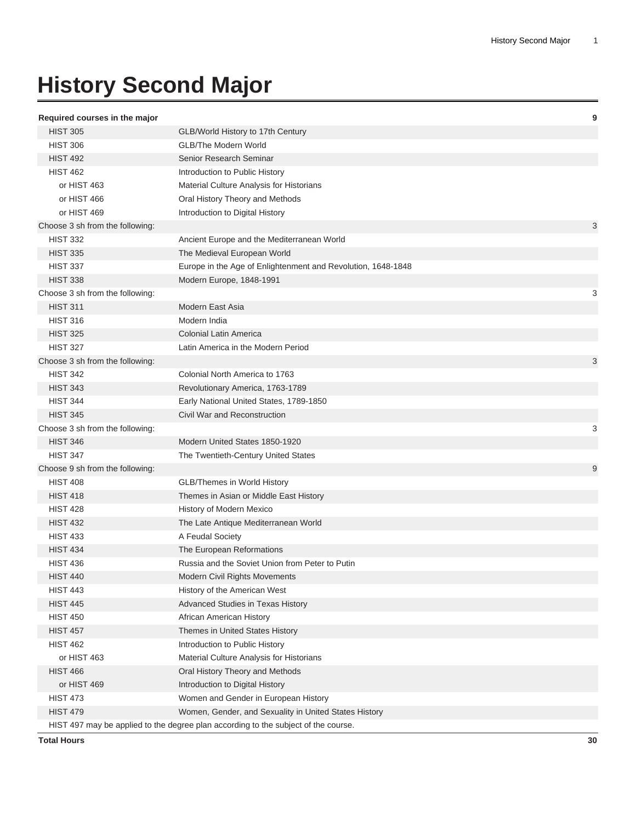## **History Second Major**

## **Required courses in the major 9**

| .cqu.cu oou.oco  c ap           |                                                                                    |   |
|---------------------------------|------------------------------------------------------------------------------------|---|
| <b>HIST 305</b>                 | GLB/World History to 17th Century                                                  |   |
| <b>HIST 306</b>                 | <b>GLB/The Modern World</b>                                                        |   |
| <b>HIST 492</b>                 | Senior Research Seminar                                                            |   |
| <b>HIST 462</b>                 | Introduction to Public History                                                     |   |
| or HIST 463                     | Material Culture Analysis for Historians                                           |   |
| or HIST 466                     | Oral History Theory and Methods                                                    |   |
| or HIST 469                     | Introduction to Digital History                                                    |   |
| Choose 3 sh from the following: |                                                                                    | 3 |
| <b>HIST 332</b>                 | Ancient Europe and the Mediterranean World                                         |   |
| <b>HIST 335</b>                 | The Medieval European World                                                        |   |
| <b>HIST 337</b>                 | Europe in the Age of Enlightenment and Revolution, 1648-1848                       |   |
| <b>HIST 338</b>                 | Modern Europe, 1848-1991                                                           |   |
| Choose 3 sh from the following: |                                                                                    | 3 |
| <b>HIST 311</b>                 | Modern East Asia                                                                   |   |
| <b>HIST 316</b>                 | Modern India                                                                       |   |
| <b>HIST 325</b>                 | <b>Colonial Latin America</b>                                                      |   |
| <b>HIST 327</b>                 | Latin America in the Modern Period                                                 |   |
| Choose 3 sh from the following: |                                                                                    | 3 |
| <b>HIST 342</b>                 | Colonial North America to 1763                                                     |   |
| <b>HIST 343</b>                 | Revolutionary America, 1763-1789                                                   |   |
| <b>HIST 344</b>                 | Early National United States, 1789-1850                                            |   |
| <b>HIST 345</b>                 | Civil War and Reconstruction                                                       |   |
| Choose 3 sh from the following: |                                                                                    | 3 |
| <b>HIST 346</b>                 | Modern United States 1850-1920                                                     |   |
| <b>HIST 347</b>                 | The Twentieth-Century United States                                                |   |
| Choose 9 sh from the following: |                                                                                    | 9 |
| <b>HIST 408</b>                 | <b>GLB/Themes in World History</b>                                                 |   |
| <b>HIST 418</b>                 | Themes in Asian or Middle East History                                             |   |
| <b>HIST 428</b>                 | History of Modern Mexico                                                           |   |
| <b>HIST 432</b>                 | The Late Antique Mediterranean World                                               |   |
| <b>HIST 433</b>                 | A Feudal Society                                                                   |   |
| <b>HIST 434</b>                 | The European Reformations                                                          |   |
| <b>HIST 436</b>                 | Russia and the Soviet Union from Peter to Putin                                    |   |
| <b>HIST 440</b>                 | Modern Civil Rights Movements                                                      |   |
| <b>HIST 443</b>                 | History of the American West                                                       |   |
| <b>HIST 445</b>                 | Advanced Studies in Texas History                                                  |   |
| <b>HIST 450</b>                 | African American History                                                           |   |
| <b>HIST 457</b>                 | Themes in United States History                                                    |   |
| <b>HIST 462</b>                 | Introduction to Public History                                                     |   |
| or HIST 463                     | Material Culture Analysis for Historians                                           |   |
| <b>HIST 466</b>                 | Oral History Theory and Methods                                                    |   |
| or HIST 469                     | Introduction to Digital History                                                    |   |
| <b>HIST 473</b>                 | Women and Gender in European History                                               |   |
| <b>HIST 479</b>                 | Women, Gender, and Sexuality in United States History                              |   |
|                                 | HIST 497 may be applied to the degree plan according to the subject of the course. |   |